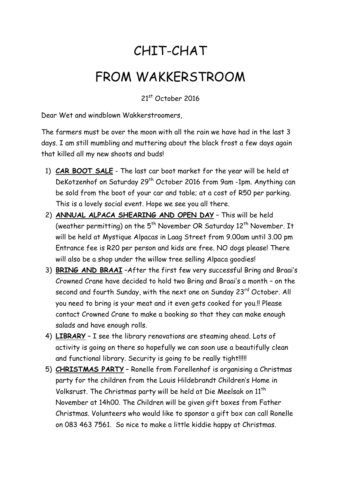## CHIT-CHAT

## FROM WAKKERSTROOM

21st October 2016

Dear Wet and windblown Wakkerstroomers,

The farmers must be over the moon with all the rain we have had in the last 3 days. I am still mumbling and muttering about the black frost a few days again that killed all my new shoots and buds!

- 1) **CAR BOOT SALE** The last car boot market for the year will be held at DeKotzenhof on Saturday 29<sup>th</sup> October 2016 from 9am -1pm. Anything can be sold from the boot of your car and table; at a cost of R50 per parking. This is a lovely social event. Hope we see you all there.
- 2) **ANNUAL ALPACA SHEARING AND OPEN DAY** This will be held (weather permitting) on the  $5<sup>th</sup>$  November OR Saturday 12<sup>th</sup> November. It will be held at Mystique Alpacas in Laag Street from 9.00am until 3.00 pm Entrance fee is R20 per person and kids are free. NO dogs please! There will also be a shop under the willow tree selling Alpaca goodies!
- 3) **BRING AND BRAAI** –After the first few very successful Bring and Braai's Crowned Crane have decided to hold two Bring and Braai's a month – on the second and fourth Sunday, with the next one on Sunday 23<sup>rd</sup> October. All you need to bring is your meat and it even gets cooked for you.!! Please contact Crowned Crane to make a booking so that they can make enough salads and have enough rolls.
- 4) **LIBRARY** I see the library renovations are steaming ahead. Lots of activity is going on there so hopefully we can soon use a beautifully clean and functional library. Security is going to be really tight!!!!!
- 5) **CHRISTMAS PARTY** Ronelle from Forellenhof is organising a Christmas party for the children from the Louis Hildebrandt Children's Home in Volksrust. The Christmas party will be held at Die Meelsak on 11<sup>th</sup> November at 14h00. The Children will be given gift boxes from Father Christmas. Volunteers who would like to sponsor a gift box can call Ronelle on 083 463 7561. So nice to make a little kiddie happy at Christmas.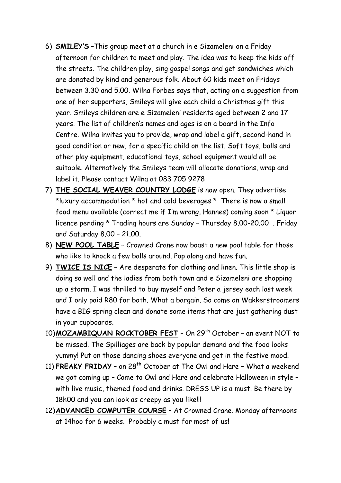- 6) **SMILEY'S** –This group meet at a church in e Sizameleni on a Friday afternoon for children to meet and play. The idea was to keep the kids off the streets. The children play, sing gospel songs and get sandwiches which are donated by kind and generous folk. About 60 kids meet on Fridays between 3.30 and 5.00. Wilna Forbes says that, acting on a suggestion from one of her supporters, Smileys will give each child a Christmas gift this year. Smileys children are e Sizameleni residents aged between 2 and 17 years. The list of children's names and ages is on a board in the Info Centre. Wilna invites you to provide, wrap and label a gift, second-hand in good condition or new, for a specific child on the list. Soft toys, balls and other play equipment, educational toys, school equipment would all be suitable. Alternatively the Smileys team will allocate donations, wrap and label it. Please contact Wilna at 083 705 9278
- 7) **THE SOCIAL WEAVER COUNTRY LODGE** is now open. They advertise \*luxury accommodation \* hot and cold beverages \* There is now a small food menu available (correct me if I'm wrong, Hannes) coming soon \* Liquor licence pending \* Trading hours are Sunday – Thursday 8.00-20.00 . Friday and Saturday 8.00 – 21.00.
- 8) **NEW POOL TABLE** Crowned Crane now boast a new pool table for those who like to knock a few balls around. Pop along and have fun.
- 9) **TWICE IS NICE** Are desperate for clothing and linen. This little shop is doing so well and the ladies from both town and e Sizameleni are shopping up a storm. I was thrilled to buy myself and Peter a jersey each last week and I only paid R80 for both. What a bargain. So come on Wakkerstroomers have a BIG spring clean and donate some items that are just gathering dust in your cupboards.
- 10)**MOZAMBIQUAN ROCKTOBER FEST** On 29th October an event NOT to be missed. The Spilliages are back by popular demand and the food looks yummy! Put on those dancing shoes everyone and get in the festive mood.
- 11) **FREAKY FRIDAY** on 28<sup>th</sup> October at The Owl and Hare What a weekend we got coming up – Come to Owl and Hare and celebrate Halloween in style – with live music, themed food and drinks. DRESS UP is a must. Be there by 18h00 and you can look as creepy as you like!!!
- 12)**ADVANCED COMPUTER COURSE** At Crowned Crane. Monday afternoons at 14hoo for 6 weeks. Probably a must for most of us!